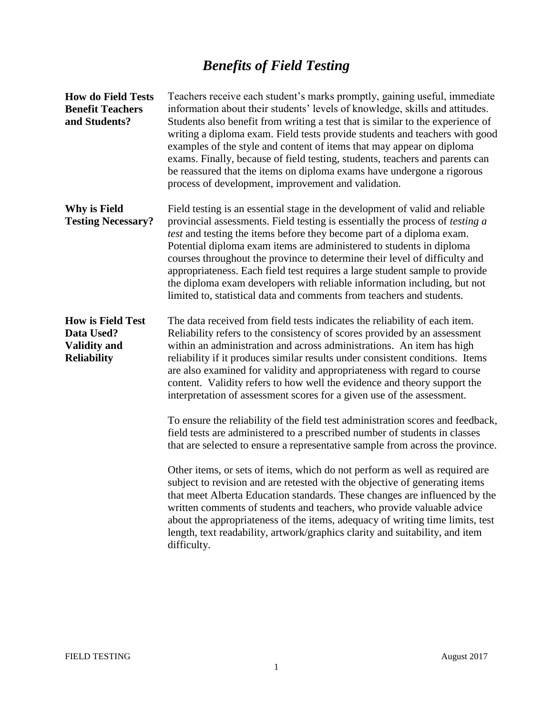# *Benefits of Field Testing*

| <b>How do Field Tests</b><br><b>Benefit Teachers</b><br>and Students?               | Teachers receive each student's marks promptly, gaining useful, immediate<br>information about their students' levels of knowledge, skills and attitudes.<br>Students also benefit from writing a test that is similar to the experience of<br>writing a diploma exam. Field tests provide students and teachers with good<br>examples of the style and content of items that may appear on diploma<br>exams. Finally, because of field testing, students, teachers and parents can<br>be reassured that the items on diploma exams have undergone a rigorous<br>process of development, improvement and validation.                    |
|-------------------------------------------------------------------------------------|-----------------------------------------------------------------------------------------------------------------------------------------------------------------------------------------------------------------------------------------------------------------------------------------------------------------------------------------------------------------------------------------------------------------------------------------------------------------------------------------------------------------------------------------------------------------------------------------------------------------------------------------|
| Why is Field<br><b>Testing Necessary?</b>                                           | Field testing is an essential stage in the development of valid and reliable<br>provincial assessments. Field testing is essentially the process of <i>testing a</i><br>test and testing the items before they become part of a diploma exam.<br>Potential diploma exam items are administered to students in diploma<br>courses throughout the province to determine their level of difficulty and<br>appropriateness. Each field test requires a large student sample to provide<br>the diploma exam developers with reliable information including, but not<br>limited to, statistical data and comments from teachers and students. |
| <b>How is Field Test</b><br>Data Used?<br><b>Validity and</b><br><b>Reliability</b> | The data received from field tests indicates the reliability of each item.<br>Reliability refers to the consistency of scores provided by an assessment<br>within an administration and across administrations. An item has high<br>reliability if it produces similar results under consistent conditions. Items<br>are also examined for validity and appropriateness with regard to course<br>content. Validity refers to how well the evidence and theory support the<br>interpretation of assessment scores for a given use of the assessment.                                                                                     |
|                                                                                     | To ensure the reliability of the field test administration scores and feedback,<br>field tests are administered to a prescribed number of students in classes<br>that are selected to ensure a representative sample from across the province.                                                                                                                                                                                                                                                                                                                                                                                          |
|                                                                                     | Other items, or sets of items, which do not perform as well as required are<br>subject to revision and are retested with the objective of generating items<br>that meet Alberta Education standards. These changes are influenced by the<br>written comments of students and teachers, who provide valuable advice<br>about the appropriateness of the items, adequacy of writing time limits, test<br>length, text readability, artwork/graphics clarity and suitability, and item<br>difficulty.                                                                                                                                      |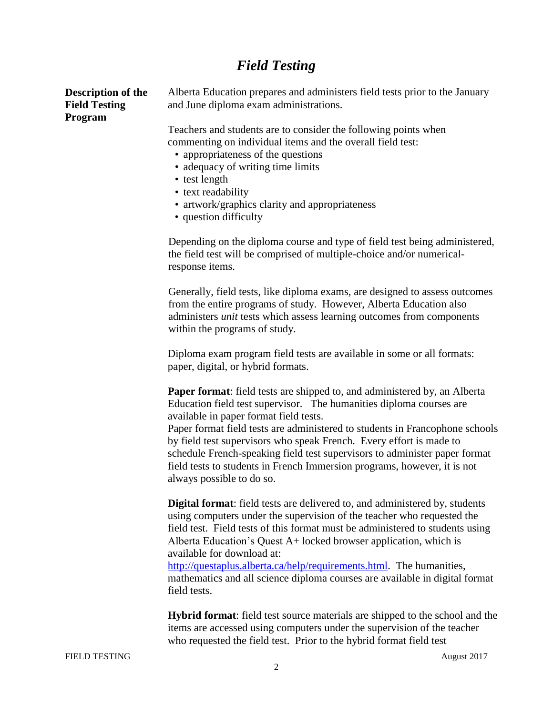### *Field Testing*

**Description of the Field Testing Program**

Alberta Education prepares and administers field tests prior to the January and June diploma exam administrations.

Teachers and students are to consider the following points when commenting on individual items and the overall field test:

- appropriateness of the questions
- adequacy of writing time limits
- test length
- text readability
- artwork/graphics clarity and appropriateness
- question difficulty

Depending on the diploma course and type of field test being administered, the field test will be comprised of multiple-choice and/or numericalresponse items.

Generally, field tests, like diploma exams, are designed to assess outcomes from the entire programs of study. However, Alberta Education also administers *unit* tests which assess learning outcomes from components within the programs of study.

Diploma exam program field tests are available in some or all formats: paper, digital, or hybrid formats.

**Paper format**: field tests are shipped to, and administered by, an Alberta Education field test supervisor. The humanities diploma courses are available in paper format field tests.

Paper format field tests are administered to students in Francophone schools by field test supervisors who speak French. Every effort is made to schedule French-speaking field test supervisors to administer paper format field tests to students in French Immersion programs, however, it is not always possible to do so.

**Digital format**: field tests are delivered to, and administered by, students using computers under the supervision of the teacher who requested the field test. Field tests of this format must be administered to students using Alberta Education's Quest A+ locked browser application, which is available for download at:

[http://questaplus.alberta.ca/help/requirements.html.](https://questaplus.alberta.ca/help/requirements.html) The humanities, mathematics and all science diploma courses are available in digital format field tests.

**Hybrid format**: field test source materials are shipped to the school and the items are accessed using computers under the supervision of the teacher who requested the field test. Prior to the hybrid format field test

FIELD TESTING August 2017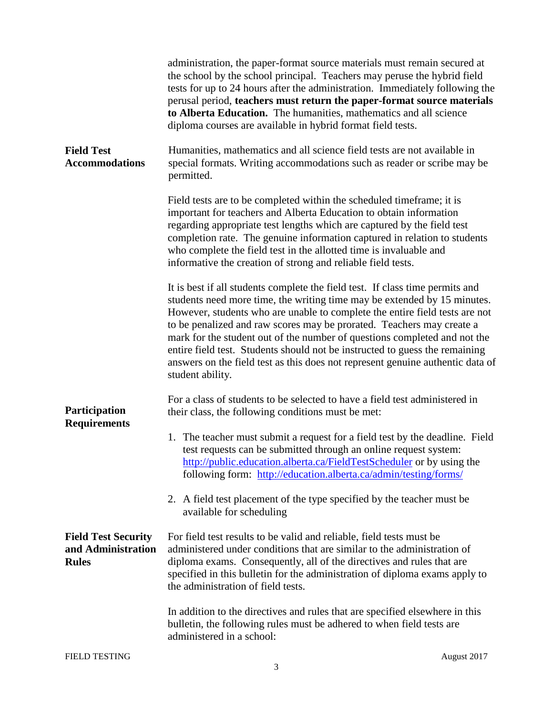|                                                                  | administration, the paper-format source materials must remain secured at<br>the school by the school principal. Teachers may peruse the hybrid field<br>tests for up to 24 hours after the administration. Immediately following the<br>perusal period, teachers must return the paper-format source materials<br>to Alberta Education. The humanities, mathematics and all science<br>diploma courses are available in hybrid format field tests.                                                                                                                                  |
|------------------------------------------------------------------|-------------------------------------------------------------------------------------------------------------------------------------------------------------------------------------------------------------------------------------------------------------------------------------------------------------------------------------------------------------------------------------------------------------------------------------------------------------------------------------------------------------------------------------------------------------------------------------|
| <b>Field Test</b><br><b>Accommodations</b>                       | Humanities, mathematics and all science field tests are not available in<br>special formats. Writing accommodations such as reader or scribe may be<br>permitted.                                                                                                                                                                                                                                                                                                                                                                                                                   |
|                                                                  | Field tests are to be completed within the scheduled timeframe; it is<br>important for teachers and Alberta Education to obtain information<br>regarding appropriate test lengths which are captured by the field test<br>completion rate. The genuine information captured in relation to students<br>who complete the field test in the allotted time is invaluable and<br>informative the creation of strong and reliable field tests.                                                                                                                                           |
|                                                                  | It is best if all students complete the field test. If class time permits and<br>students need more time, the writing time may be extended by 15 minutes.<br>However, students who are unable to complete the entire field tests are not<br>to be penalized and raw scores may be prorated. Teachers may create a<br>mark for the student out of the number of questions completed and not the<br>entire field test. Students should not be instructed to guess the remaining<br>answers on the field test as this does not represent genuine authentic data of<br>student ability. |
| Participation<br><b>Requirements</b>                             | For a class of students to be selected to have a field test administered in<br>their class, the following conditions must be met:                                                                                                                                                                                                                                                                                                                                                                                                                                                   |
|                                                                  | 1. The teacher must submit a request for a field test by the deadline. Field<br>test requests can be submitted through an online request system:<br>http://public.education.alberta.ca/FieldTestScheduler or by using the<br>following form: http://education.alberta.ca/admin/testing/forms/                                                                                                                                                                                                                                                                                       |
|                                                                  | 2. A field test placement of the type specified by the teacher must be<br>available for scheduling                                                                                                                                                                                                                                                                                                                                                                                                                                                                                  |
| <b>Field Test Security</b><br>and Administration<br><b>Rules</b> | For field test results to be valid and reliable, field tests must be<br>administered under conditions that are similar to the administration of<br>diploma exams. Consequently, all of the directives and rules that are<br>specified in this bulletin for the administration of diploma exams apply to<br>the administration of field tests.                                                                                                                                                                                                                                       |
|                                                                  | In addition to the directives and rules that are specified elsewhere in this<br>bulletin, the following rules must be adhered to when field tests are<br>administered in a school:                                                                                                                                                                                                                                                                                                                                                                                                  |
| <b>FIELD TESTING</b>                                             | August 2017                                                                                                                                                                                                                                                                                                                                                                                                                                                                                                                                                                         |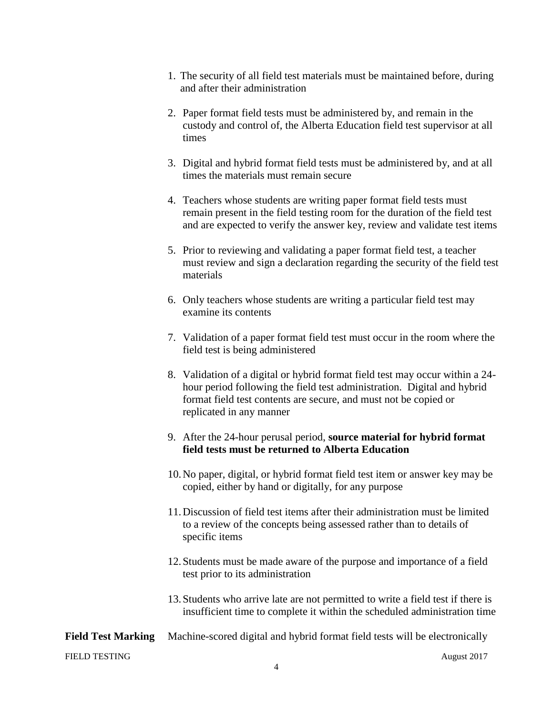- 1. The security of all field test materials must be maintained before, during and after their administration
- 2. Paper format field tests must be administered by, and remain in the custody and control of, the Alberta Education field test supervisor at all times
- 3. Digital and hybrid format field tests must be administered by, and at all times the materials must remain secure
- 4. Teachers whose students are writing paper format field tests must remain present in the field testing room for the duration of the field test and are expected to verify the answer key, review and validate test items
- 5. Prior to reviewing and validating a paper format field test, a teacher must review and sign a declaration regarding the security of the field test materials
- 6. Only teachers whose students are writing a particular field test may examine its contents
- 7. Validation of a paper format field test must occur in the room where the field test is being administered
- 8. Validation of a digital or hybrid format field test may occur within a 24 hour period following the field test administration. Digital and hybrid format field test contents are secure, and must not be copied or replicated in any manner
- 9. After the 24-hour perusal period, **source material for hybrid format field tests must be returned to Alberta Education**
- 10.No paper, digital, or hybrid format field test item or answer key may be copied, either by hand or digitally, for any purpose
- 11.Discussion of field test items after their administration must be limited to a review of the concepts being assessed rather than to details of specific items
- 12.Students must be made aware of the purpose and importance of a field test prior to its administration
- 13.Students who arrive late are not permitted to write a field test if there is insufficient time to complete it within the scheduled administration time

### **Field Test Marking** Machine-scored digital and hybrid format field tests will be electronically

FIELD TESTING August 2017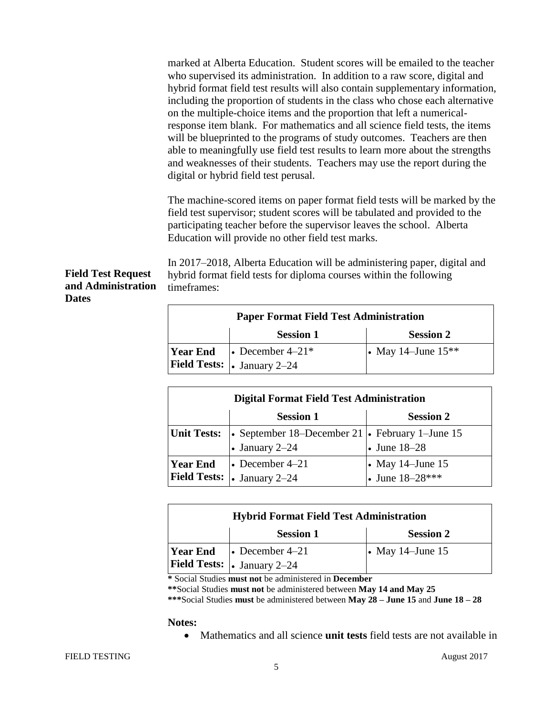marked at Alberta Education. Student scores will be emailed to the teacher who supervised its administration. In addition to a raw score, digital and hybrid format field test results will also contain supplementary information, including the proportion of students in the class who chose each alternative on the multiple-choice items and the proportion that left a numericalresponse item blank. For mathematics and all science field tests, the items will be blueprinted to the programs of study outcomes. Teachers are then able to meaningfully use field test results to learn more about the strengths and weaknesses of their students. Teachers may use the report during the digital or hybrid field test perusal.

The machine-scored items on paper format field tests will be marked by the field test supervisor; student scores will be tabulated and provided to the participating teacher before the supervisor leaves the school. Alberta Education will provide no other field test marks.

In 2017–2018, Alberta Education will be administering paper, digital and hybrid format field tests for diploma courses within the following timeframes:

| <b>Paper Format Field Test Administration</b> |                                                                                        |                      |
|-----------------------------------------------|----------------------------------------------------------------------------------------|----------------------|
|                                               | <b>Session 1</b>                                                                       | <b>Session 2</b>     |
|                                               | <b>Year End</b> $\bullet$ December 4–21*<br><b>Field Tests:</b> $\vert$ . January 2-24 | • May 14–June $15**$ |

| <b>Digital Format Field Test Administration</b> |                                                 |                                       |
|-------------------------------------------------|-------------------------------------------------|---------------------------------------|
|                                                 | <b>Session 1</b>                                | <b>Session 2</b>                      |
| <b>Unit Tests:</b>                              | • September 18–December 21 • February 1–June 15 |                                       |
|                                                 | • January $2-24$                                | • June $18-28$                        |
| <b>Year End</b>                                 | $\bullet$ December 4–21                         | • May 14–June 15<br>• June $18-28***$ |
| Field Tests:  .                                 | January 2-24                                    |                                       |

| <b>Hybrid Format Field Test Administration</b> |                                            |                        |
|------------------------------------------------|--------------------------------------------|------------------------|
|                                                | <b>Session 1</b>                           | <b>Session 2</b>       |
|                                                | <b>Year End</b> $\bullet$ December 4–21    | $\cdot$ May 14–June 15 |
|                                                | <b>Field Tests:</b> $\bullet$ January 2-24 |                        |

**\*** Social Studies **must not** be administered in **December**

**\*\***Social Studies **must not** be administered between **May 14 and May 25**

**\*\*\***Social Studies **must** be administered between **May 28 – June 15** and **June 18 – 28**

#### **Notes:**

Mathematics and all science **unit tests** field tests are not available in

**Field Test Request and Administration** 

**Dates**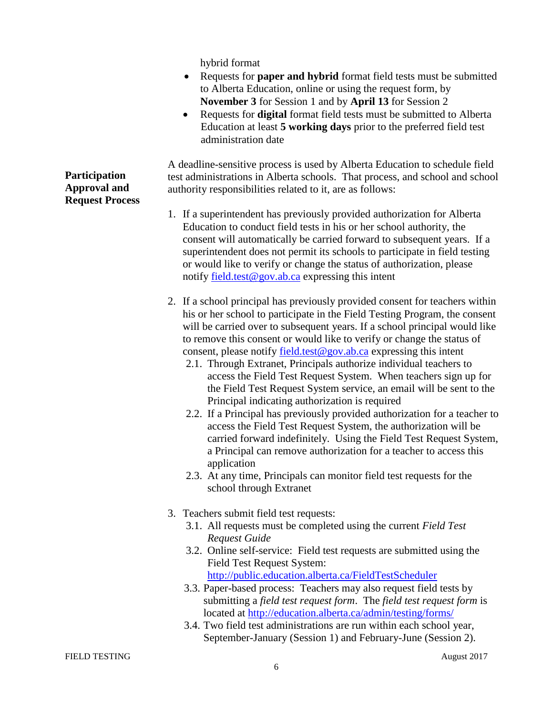hybrid format

- Requests for **paper and hybrid** format field tests must be submitted to Alberta Education, online or using the request form, by **November 3** for Session 1 and by **April 13** for Session 2
- Requests for **digital** format field tests must be submitted to Alberta Education at least **5 working days** prior to the preferred field test administration date

A deadline-sensitive process is used by Alberta Education to schedule field test administrations in Alberta schools. That process, and school and school authority responsibilities related to it, are as follows:

- 1. If a superintendent has previously provided authorization for Alberta Education to conduct field tests in his or her school authority, the consent will automatically be carried forward to subsequent years. If a superintendent does not permit its schools to participate in field testing or would like to verify or change the status of authorization, please notify [field.test@gov.ab.ca](mailto:field.test@gov.ab.ca) expressing this intent
- 2. If a school principal has previously provided consent for teachers within his or her school to participate in the Field Testing Program, the consent will be carried over to subsequent years. If a school principal would like to remove this consent or would like to verify or change the status of consent, please notify [field.test@gov.ab.ca](mailto:field.test@gov.ab.ca) expressing this intent
	- 2.1. Through Extranet, Principals authorize individual teachers to access the Field Test Request System. When teachers sign up for the Field Test Request System service, an email will be sent to the Principal indicating authorization is required
	- 2.2. If a Principal has previously provided authorization for a teacher to access the Field Test Request System, the authorization will be carried forward indefinitely. Using the Field Test Request System, a Principal can remove authorization for a teacher to access this application
	- 2.3. At any time, Principals can monitor field test requests for the school through Extranet
- 3. Teachers submit field test requests:
	- 3.1. All requests must be completed using the current *Field Test Request Guide*
	- 3.2. Online self-service: Field test requests are submitted using the Field Test Request System: <http://public.education.alberta.ca/FieldTestScheduler>
	- 3.3. Paper-based process: Teachers may also request field tests by submitting a *field test request form*. The *field test request form* is located at<http://education.alberta.ca/admin/testing/forms/>
	- 3.4. Two field test administrations are run within each school year, September-January (Session 1) and February-June (Session 2).

**Participation Approval and Request Process**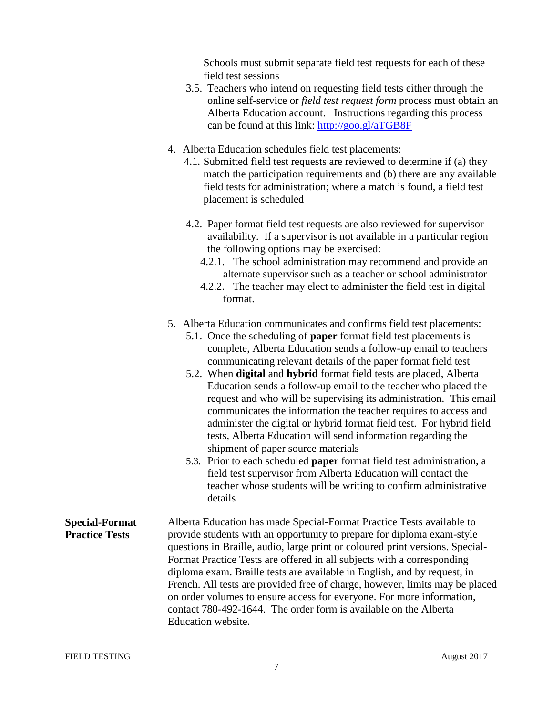Schools must submit separate field test requests for each of these field test sessions

- 3.5. Teachers who intend on requesting field tests either through the online self-service or *field test request form* process must obtain an Alberta Education account. Instructions regarding this process can be found at this link:<http://goo.gl/aTGB8F>
- 4. Alberta Education schedules field test placements:
	- 4.1. Submitted field test requests are reviewed to determine if (a) they match the participation requirements and (b) there are any available field tests for administration; where a match is found, a field test placement is scheduled
	- 4.2. Paper format field test requests are also reviewed for supervisor availability. If a supervisor is not available in a particular region the following options may be exercised:
		- 4.2.1. The school administration may recommend and provide an alternate supervisor such as a teacher or school administrator
		- 4.2.2. The teacher may elect to administer the field test in digital format.
- 5. Alberta Education communicates and confirms field test placements:
	- 5.1. Once the scheduling of **paper** format field test placements is complete, Alberta Education sends a follow-up email to teachers communicating relevant details of the paper format field test
	- 5.2. When **digital** and **hybrid** format field tests are placed, Alberta Education sends a follow-up email to the teacher who placed the request and who will be supervising its administration. This email communicates the information the teacher requires to access and administer the digital or hybrid format field test. For hybrid field tests, Alberta Education will send information regarding the shipment of paper source materials
	- 5.3. Prior to each scheduled **paper** format field test administration, a field test supervisor from Alberta Education will contact the teacher whose students will be writing to confirm administrative details
- **Special-Format Practice Tests** Alberta Education has made Special-Format Practice Tests available to provide students with an opportunity to prepare for diploma exam-style questions in Braille, audio, large print or coloured print versions. Special-Format Practice Tests are offered in all subjects with a corresponding diploma exam. Braille tests are available in English, and by request, in French. All tests are provided free of charge, however, limits may be placed on order volumes to ensure access for everyone. For more information, contact 780-492-1644. The order form is available on the Alberta Education website.